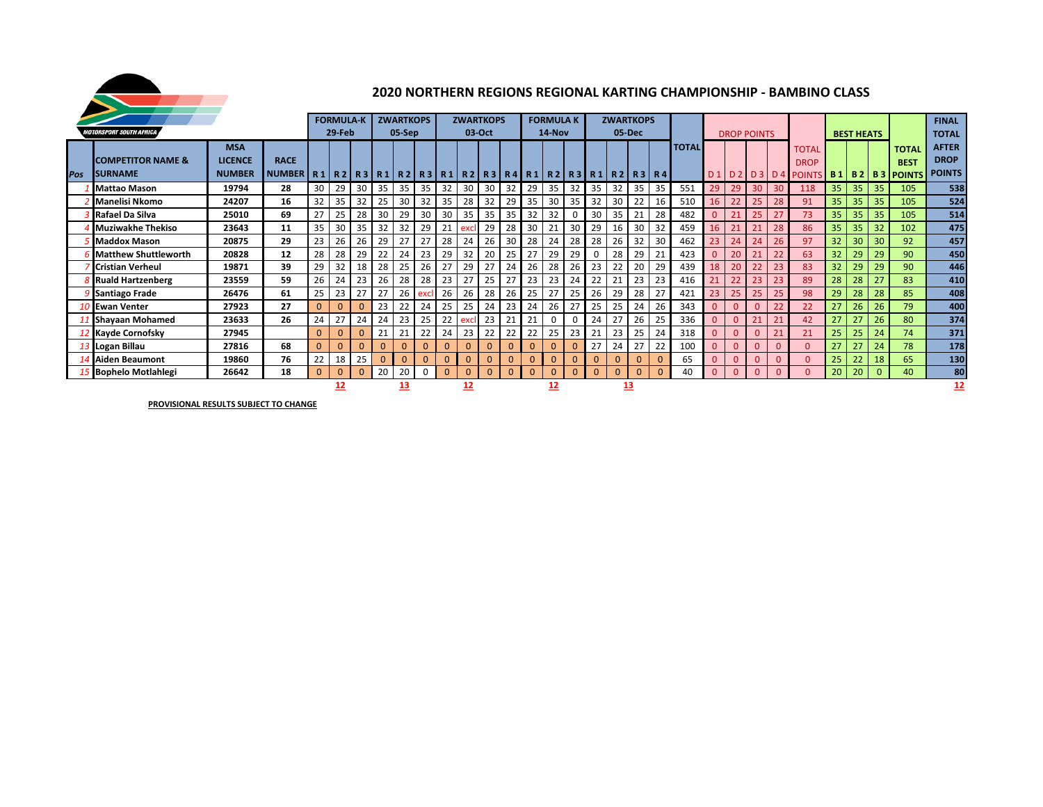

## **2020 NORTHERN REGIONS REGIONAL KARTING CHAMPIONSHIP - BAMBINO CLASS**

|     |                                |                |               |           | <b>FORMULA-K</b> |              |              | <b>ZWARTKOPS</b> |     |            | <b>ZWARTKOPS</b> |              |                 |              | <b>FORMULA K</b> |              |          | <b>ZWARTKOPS</b>                                                                                    |          |              |              |              |                |                    |              |                    |                 |                   |             |                        | <b>FINAL</b>  |
|-----|--------------------------------|----------------|---------------|-----------|------------------|--------------|--------------|------------------|-----|------------|------------------|--------------|-----------------|--------------|------------------|--------------|----------|-----------------------------------------------------------------------------------------------------|----------|--------------|--------------|--------------|----------------|--------------------|--------------|--------------------|-----------------|-------------------|-------------|------------------------|---------------|
|     | <b>MOTORSPORT SOUTH AFRICA</b> |                |               |           | 29-Feb           |              |              | 05-Sep           |     |            |                  | 03-Oct       |                 |              | 14-Nov           |              |          |                                                                                                     | 05-Dec   |              |              |              |                | <b>DROP POINTS</b> |              |                    |                 | <b>BEST HEATS</b> |             |                        | <b>TOTAL</b>  |
|     |                                | <b>MSA</b>     |               |           |                  |              |              |                  |     |            |                  |              |                 |              |                  |              |          |                                                                                                     |          |              | <b>TOTAL</b> |              |                |                    |              | <b>TOTAL</b>       |                 |                   |             | <b>TOTAL</b>           | <b>AFTER</b>  |
|     | <b>COMPETITOR NAME &amp;</b>   | <b>LICENCE</b> | <b>RACE</b>   |           |                  |              |              |                  |     |            |                  |              |                 |              |                  |              |          |                                                                                                     |          |              |              |              |                |                    |              | <b>DROP</b>        |                 |                   |             | <b>BEST</b>            | <b>DROP</b>   |
| Pos | <b>ISURNAME</b>                | <b>NUMBER</b>  | <b>NUMBER</b> |           |                  |              |              |                  |     |            |                  |              |                 |              |                  |              |          | R 1   R 2   R 3   R 1   R 2   R 3   R 1   R 2   R 3   R 4   R 1   R 2   R 3   R 1   R 2   R 3   R 4 |          |              |              |              |                |                    |              | D1 D2 D3 D4 POINTS |                 |                   |             | <b>B1 B2 B3 POINTS</b> | <b>POINTS</b> |
|     |                                |                |               |           |                  |              |              |                  |     |            |                  |              |                 |              |                  |              |          |                                                                                                     |          |              |              |              |                |                    |              |                    |                 |                   |             |                        |               |
|     | <b>Mattao Mason</b>            | 19794          | 28            | 30        | 29               | 30           | 35           | 35               | 35  | 32         | 30               | 30           | 32              | 29           | 35               | 32           | 35       | 32                                                                                                  | 35       | 35           | 551          | 29           | 29             | 30                 | 30           | 118                | 35              | 35                | 35          | 105                    | 538           |
|     | <b>Manelisi Nkomo</b>          | 24207          | 16            | 32        | 35               | 32           | 25           | 30               | 32  | 35         | 28               | 32           | 29 <sub>1</sub> | 35           | 30               | 35           | 32       | 30                                                                                                  | 22       | 16           | 510          | 16           | 22             | 25                 | 28           | 91                 | 35              | 35                | 35          | 105                    | 524           |
|     | Rafael Da Silva                | 25010          | 69            | 27        | 25               | 28           | 30           | 29               | 30  | 30         | 35               | 35           | 35              | 32           | 32               |              | 30       | 35                                                                                                  | 21       | 28           | 482          | $\mathbf{0}$ | 21             | 25                 | 27           | 73                 | 35              | 35                | 35          | 105                    | 514           |
|     | <b>Muziwakhe Thekiso</b>       | 23643          | 11            | 35        | 30               | 35           | 32           | 32               | 29  | 21         | excl             | 29           | 28 <sub>1</sub> | 30           | 21               | 30           | 29       | 16                                                                                                  | 30       | 32           | 459          | 16           | 21             | 21                 | 28           | 86                 | 35              | 35                | 32          | 102                    | 475           |
|     | <b>Maddox Mason</b>            | 20875          | 29            | 23        | 26               | 26           | 29           | 27               | 27  | 28         | 24               | 26           | 30              | 28           | 24               | 28           | 28       | 26                                                                                                  | 32       | 30           | 462          | 23           | 24             | 24                 | 26           | 97                 | 32              | 30                | 30          | 92                     | 457           |
|     | <b>Matthew Shuttleworth</b>    | 20828          | 12            | 28        | 28               | 29           | 22           | 24               | 23  | 29         | 32               | 20           | 25              | 27           | 29               | 29           | $\Omega$ | 28                                                                                                  | 29       | 21           | 423          | $\mathbf{0}$ | 20             |                    | 22           | 63                 | 32 <sup>2</sup> | 29                | 29          | 90                     | 450           |
|     | <b>Cristian Verheul</b>        | 19871          | 39            | 29        | 32               | 18           | 28           | 25               | 26  | 27         | 29               | 27           | 24              | 26           | 28               | 26           | 23       | 22                                                                                                  | 20       | 29           | 439          | 18           | 20             | 22                 | 23           | 83                 | 32 <sup>2</sup> | 29                | 29          | 90                     | 446           |
|     | <b>Ruald Hartzenberg</b>       | 23559          | 59            | 26        | 24               | 23           | 26           | 28               | 28  | 23         | 27               | 25           | 27              | 23           | 23               | 24           | 22       | 21                                                                                                  | 23       | 23           | 416          |              | 22             | 23                 | 23           | 89                 | 28              | 28                | 27          | 83                     | 410           |
|     | <b>Santiago Frade</b>          | 26476          | 61            | 25        | 23               | 27           | 27           | 26               | exc | 26         | 26               | 28           | 26              | 25           | 27               | 25           | 26       | 29                                                                                                  | 28       | 27           | 421          | 23           | 25             | 25                 | 25           | 98                 | 29              | 28                | 28          | 85                     | 408           |
|     | 10 Ewan Venter                 | 27923          | 27            | 0         | $\mathbf{0}$     | $\mathbf{0}$ | 23           | 22               | 24  | 25         | 25               | 24           | 23              | 24           | 26               | 27           | 25       | 25                                                                                                  | 24       | 26           | 343          | $\mathbf{0}$ | $\overline{0}$ |                    | 22           | 22                 | 27              | 26                | 26          | 79                     | 400           |
|     | <b>Shayaan Mohamed</b>         | 23633          | 26            | 24        | 27               | 24           | 24           | 23               | 25  | 22         | excl             | 23           | 21              | 21           | 0                | 0            | 24       |                                                                                                     | 26       | 25           | 336          | $\mathbf{0}$ | $\Omega$       |                    | 21           | 42                 | 27              |                   | 26          | 80                     | 374           |
|     | 2 Kayde Cornofsky              | 27945          |               | $\Omega$  | $\mathbf{0}$     | $\Omega$     | 21           | 21               | 22  | 24         | 23               | 22           | 22              | 22           | 25               | 23           | 21       | 23                                                                                                  | 25       | 24           | 318          | 0            | $\Omega$       |                    | 21           | 21                 | 25              | 25                | 24          | 74                     | 371           |
|     | 3 Logan Billau                 | 27816          | 68            | 0         | $\Omega$         | $\Omega$     | $\mathbf{0}$ | $\Omega$         |     | $\Omega$   | $\mathbf{0}$     | $\mathbf{0}$ | $\mathbf{0}$    |              | $\mathbf{0}$     | $\mathbf{0}$ | 27       | 24                                                                                                  | 27       | 22           | 100          | $\Omega$     | $\Omega$       |                    | $\Omega$     | $\Omega$           | 27              |                   | 24          | 78                     | 178           |
|     | <b>Aiden Beaumont</b>          | 19860          | 76            | 22        | 18               | 25           | $\mathbf{0}$ | $\Omega$         |     | $\Omega$   | $\Omega$         | $\mathbf{0}$ | $\overline{0}$  | $\mathbf{0}$ | $\mathbf 0$      | $\mathbf{0}$ | $\Omega$ |                                                                                                     | $\Omega$ | $\Omega$     | 65           | $\mathbf{0}$ | $\Omega$       |                    | $\Omega$     | $\Omega$           | 25              | 22                | 18          | 65                     | 130           |
|     | 15 Bophelo Motlahlegi          | 26642          | 18            |           | $\mathbf{0}$     | $\Omega$     | 20           | 20               |     | $\Omega$   | $\mathbf{0}$     | $\Omega$     | $\Omega$        | $\Omega$     | $\mathbf{0}$     | $\Omega$     | $\Omega$ |                                                                                                     | $\Omega$ | $\mathbf{0}$ | 40           | $\mathbf{0}$ | $\mathbf{0}$   |                    | $\mathbf{0}$ | $\Omega$           | 20              | 20                | $\mathbf 0$ | 40                     | 80            |
|     |                                |                |               | <u>12</u> |                  |              | <u> 13</u>   |                  |     | <u> 12</u> |                  |              |                 | 12           |                  |              |          | <u>13</u>                                                                                           |          |              |              |              |                |                    |              |                    |                 |                   |             | 12                     |               |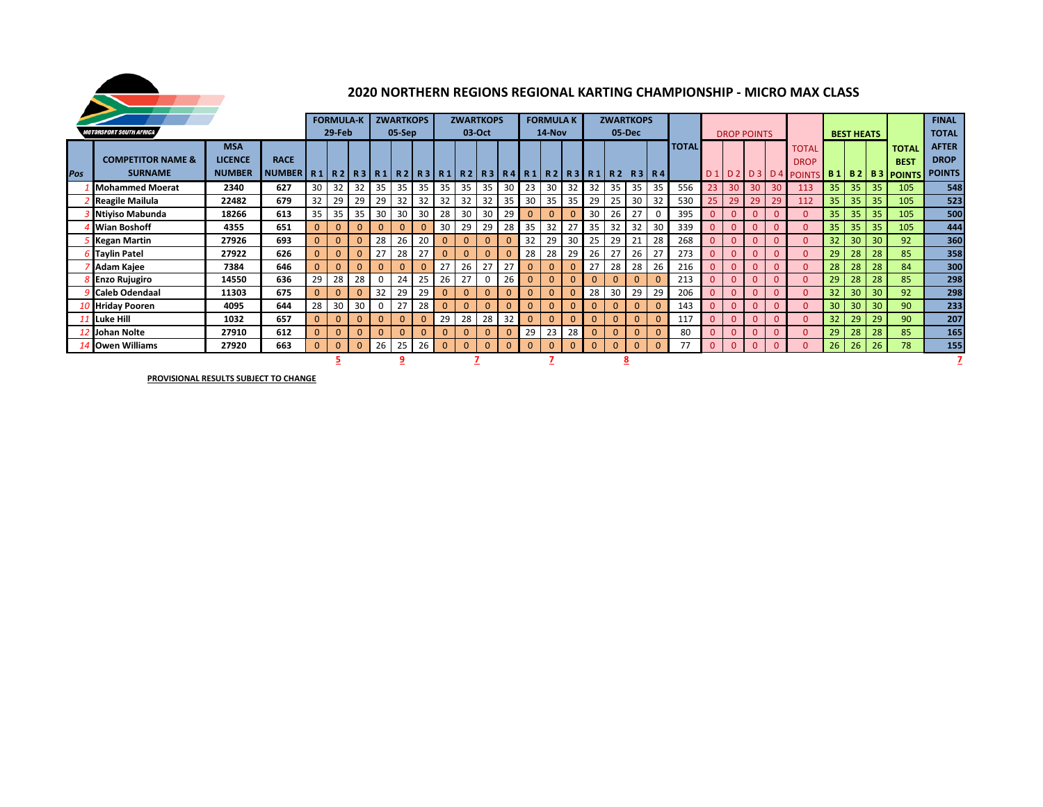

# **2020 NORTHERN REGIONS REGIONAL KARTING CHAMPIONSHIP - MICRO MAX CLASS**

|     |                                       |                |                                                                                             |                | <b>FORMULA-K</b> |              |              |              | <b>ZWARTKOPS</b> |              | <b>ZWARTKOPS</b> |              |              |              | <b>FORMULA K</b> |              |                | <b>ZWARTKOPS</b> |              |             |              |                 |                    |                |                 |                              |                 |                   |    |              | <b>FINAL</b>  |
|-----|---------------------------------------|----------------|---------------------------------------------------------------------------------------------|----------------|------------------|--------------|--------------|--------------|------------------|--------------|------------------|--------------|--------------|--------------|------------------|--------------|----------------|------------------|--------------|-------------|--------------|-----------------|--------------------|----------------|-----------------|------------------------------|-----------------|-------------------|----|--------------|---------------|
|     | <i><b>MOTORSPORT SOUTH AFRICA</b></i> |                |                                                                                             |                | 29-Feb           |              |              | 05-Sep       |                  |              |                  | 03-Oct       |              |              | 14-Nov           |              |                | 05-Dec           |              |             |              |                 | <b>DROP POINTS</b> |                |                 |                              |                 | <b>BEST HEATS</b> |    |              | <b>TOTAL</b>  |
|     |                                       | <b>MSA</b>     |                                                                                             |                |                  |              |              |              |                  |              |                  |              |              |              |                  |              |                |                  |              |             | <b>TOTAL</b> |                 |                    |                |                 |                              |                 |                   |    |              | <b>AFTER</b>  |
|     | <b>COMPETITOR NAME &amp;</b>          | <b>LICENCE</b> | <b>RACE</b>                                                                                 |                |                  |              |              |              |                  |              |                  |              |              |              |                  |              |                |                  |              |             |              |                 |                    |                |                 | <b>TOTAL</b>                 |                 |                   |    | <b>TOTAL</b> | <b>DROP</b>   |
| Pos | <b>SURNAME</b>                        | <b>NUMBER</b>  |                                                                                             |                |                  |              |              |              |                  |              |                  |              |              |              |                  |              |                |                  |              |             |              |                 |                    |                |                 | <b>DROP</b>                  |                 |                   |    | <b>BEST</b>  | <b>POINTS</b> |
|     |                                       |                | NUMBER   R1   R2   R3   R1   R2   R3   R1   R2   R3   R4   R1   R2   R3   R1   R2   R3   R4 |                |                  |              |              |              |                  |              |                  |              |              |              |                  |              |                |                  |              |             |              |                 | D1 D2              |                |                 | D3 D4 POINTS B1 B2 B3 POINTS |                 |                   |    |              |               |
|     | <b>Mohammed Moerat</b>                | 2340           | 627                                                                                         | 30             | 32               | 32           | 35           | 35           | 35               | 35           | 35               | 35           | 30           | 23           | 30               | 32           | 32             | 35               | 35           | 35          | 556          | 23 <sup>°</sup> | 30                 | 30             | 30 <sup>°</sup> | 113                          | 35              | 35                | 35 | 105          | 548           |
|     | <b>Reagile Mailula</b>                | 22482          | 679                                                                                         | 32             | 29               | 29           | 29           | 32           | 32               | 32           | 32               | 32           | 35           | 30           | 35               | 35           | 29             | 25               | 30           | 32          | 530          | 25              | 29                 | 29             | 29              | 112                          | 35 <sub>1</sub> | 35                | 35 | 105          | 523           |
|     | Ntiviso Mabunda                       | 18266          | 613                                                                                         | 35             | 35               | 35           | 30           | 30           | 30               | 28           | 30               | 30           | 29           | $\Omega$     |                  |              | 30             | 26               | 27           | $\Omega$    | 395          | $\Omega$        |                    | $\Omega$       | $\Omega$        | $\Omega$                     | 35              | 35                | 35 | 105          | 500           |
|     | Wian Boshoff                          | 4355           | 651                                                                                         | $\overline{0}$ | $\mathbf{0}$     | $\Omega$     | $\Omega$     | 0            |                  | 30           | 29               | 29           | 28           | 35           | 32               | 27           | 35             | 32               | 32           | 30          | 339          | $\overline{0}$  |                    | $\Omega$       | $\Omega$        | $\overline{0}$               | 35              | 35                | 35 | 105          | 444           |
|     | Kegan Martin                          | 27926          | 693                                                                                         | $\overline{0}$ | $\Omega$         | $\mathbf{0}$ | 28           | 26           | 20               | $\mathbf{0}$ | $\mathbf{0}$     | $\mathbf{0}$ | $\mathbf{0}$ | 32           | 29               | 30           | 25             | 29               | 21           | 28          | 268          | $\Omega$        |                    |                | $\Omega$        | $\Omega$                     | 32              | 30                | 30 | 92           | 360           |
|     | <b>Taylin Patel</b>                   | 27922          | 626                                                                                         | $\overline{0}$ | $\Omega$         | $\mathbf{0}$ | 27           | 28           |                  | $\mathbf{0}$ | $\mathbf{0}$     | $\Omega$     | $\Omega$     | 28           | 28               | 29           | 26             | 27               | 26           | 27          | 273          | $\Omega$        |                    | $\Omega$       | $\Omega$        | $\Omega$                     | 29              | 28                | 28 | 85           | 358           |
|     | Adam Kajee                            | 7384           | 646                                                                                         | $\overline{0}$ | $\mathbf{0}$     | $\mathbf{0}$ | $\mathbf{0}$ | $\mathbf{0}$ |                  | 27           | 26               | 27           | 27           | $\mathbf{0}$ |                  | $\mathbf{0}$ | 27             | 28               | 28           | 26          | 216          | $\mathbf{0}$    | $\overline{0}$     | $\overline{0}$ | $\mathbf{0}$    | $\Omega$                     | 28              | 28                | 28 | 84           | 300           |
|     | <b>Enzo Rujugiro</b>                  | 14550          | 636                                                                                         | 29             | 28               | 28           | $\mathbf{0}$ | 24           | 25               | 26           | 27               | 0            | 26           | $\Omega$     |                  | $\Omega$     |                | $\Omega$         | $\mathbf{0}$ | $\Omega$    | 213          | $\Omega$        | 0                  | $\mathbf{0}$   | $\Omega$        | $\Omega$                     | 29              | 28                | 28 | 85           | 298           |
|     | <b>Caleb Odendaal</b>                 | 11303          | 675                                                                                         | $\mathbf{0}$   | $\Omega$         |              | 32           | 29           | 29               | $\mathbf{0}$ | $\mathbf{0}$     | $\mathbf{0}$ | $\Omega$     | $\mathbf{0}$ |                  | $\Omega$     | 28             | 30               | 29           | 29          | 206          | $\Omega$        |                    | $\mathbf{0}$   | $\Omega$        | $\Omega$                     | 32 <sup>2</sup> | 30                | 30 | 92           | 298           |
|     | <b>Hriday Pooren</b>                  | 4095           | 644                                                                                         | 28             | 30               | 30           | $\mathbf{0}$ | 27           | 28               | $\mathbf{0}$ | $\mathbf{0}$     | $\mathbf{0}$ | $\mathbf{0}$ | $\mathbf{0}$ |                  | $\Omega$     |                | $\mathbf{0}$     | $\mathbf{0}$ | $\Omega$    | 143          | $\mathbf{0}$    |                    |                | $\mathbf{0}$    | $\Omega$                     | 30 <sup>°</sup> | 30                | 30 | 90           | 233           |
|     | 11 Luke Hill                          | 1032           | 657                                                                                         | $\mathbf{0}$   | $\Omega$         |              | $\mathbf{0}$ | $\mathbf{0}$ |                  | 29           | 28               | 28           | 32           | $\mathbf{0}$ |                  | $\Omega$     |                | $\overline{0}$   | $\mathbf{0}$ | $\Omega$    | 117          | $\Omega$        |                    |                | $\Omega$        | $\Omega$                     | 32              | 29                | 29 | 90           | 207           |
|     | 12 Johan Nolte                        | 612            | $\overline{0}$                                                                              | $\mathbf{0}$   | $\mathbf{0}$     | $\mathbf{0}$ | $\mathbf{0}$ | $\Omega$     |                  | $\Omega$     | 0                | $\Omega$     | 29           | 23           | 28               |              | $\overline{0}$ | $\mathbf{0}$     | $\mathbf{0}$ | 80          | $\Omega$     |                 | $\Omega$           | $\Omega$       | $\Omega$        | 29                           | 28              | 28                | 85 | 165          |               |
|     | 14 Owen Williams                      | 27920          | 663                                                                                         | $\mathbf{0}$   | $\mathbf{0}$     | $\mathbf{0}$ | 26           | 25           | 26               | $\mathbf{0}$ | $\mathbf{0}$     | $\mathbf{0}$ | $\mathbf{0}$ | $\mathbf{0}$ | $\Omega$         | $\Omega$     | $\mathbf{0}$   | $\mathbf{0}$     | $\mathbf 0$  | $\mathbf 0$ | 77           | $\mathbf{0}$    | $\mathbf{0}$       | $\mathbf{0}$   | $\mathbf{0}$    | $\mathbf{0}$                 | 26              | 26                | 26 | 78           | 155           |
|     |                                       |                |                                                                                             |                |                  |              |              |              |                  |              |                  |              |              |              |                  |              |                |                  |              |             |              |                 |                    |                |                 |                              |                 |                   |    |              |               |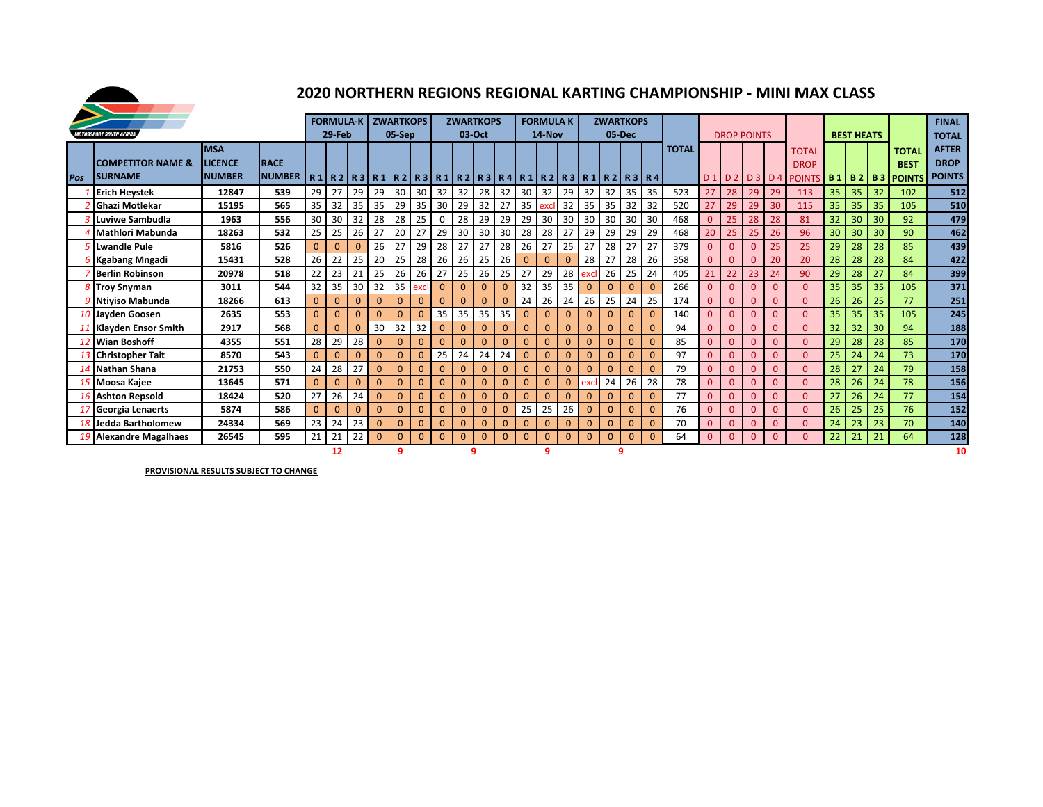

### **2020 NORTHERN REGIONS REGIONAL KARTING CHAMPIONSHIP - MINI MAX CLASS**

|     |                                                 |                                               |                                                                                                             |                | <b>FORMULA-K</b>   |                    |                              | <b>ZWARTKOPS</b>     |              |              |              | <b>ZWARTKOPS</b> |              |              | <b>FORMULA K</b> |              |              |              | <b>ZWARTKOPS</b> |              |              |              |                    |                |          |                             |    |                   |    |                                                                   | <b>FINAL</b>                                 |
|-----|-------------------------------------------------|-----------------------------------------------|-------------------------------------------------------------------------------------------------------------|----------------|--------------------|--------------------|------------------------------|----------------------|--------------|--------------|--------------|------------------|--------------|--------------|------------------|--------------|--------------|--------------|------------------|--------------|--------------|--------------|--------------------|----------------|----------|-----------------------------|----|-------------------|----|-------------------------------------------------------------------|----------------------------------------------|
|     | <b>MOTORSPORT SOUTH AFRICA</b>                  |                                               |                                                                                                             |                | 29-Feb             |                    |                              | 05-Sep               |              |              |              | 03-Oct           |              |              | 14-Nov           |              |              |              | 05-Dec           |              |              |              | <b>DROP POINTS</b> |                |          |                             |    | <b>BEST HEATS</b> |    |                                                                   | <b>TOTAL</b>                                 |
| Pos | <b>COMPETITOR NAME &amp;</b><br><b>ISURNAME</b> | <b>MSA</b><br><b>LICENCE</b><br><b>NUMBER</b> | <b>IRACE</b><br>NUMBER   R1   R2   R3   R1   R2   R3   R1   R2   R3   R4   R1   R2   R3   R1   R2   R3   R4 |                |                    |                    |                              |                      |              |              |              |                  |              |              |                  |              |              |              |                  |              | <b>TOTAL</b> |              |                    |                |          | <b>TOTAL</b><br><b>DROP</b> |    |                   |    | <b>TOTAL</b><br><b>BEST</b><br>D1 D2 D3 D4 POINTS B1 B2 B3 POINTS | <b>AFTER</b><br><b>DROP</b><br><b>POINTS</b> |
|     | <b>Erich Heystek</b>                            | 12847                                         | 539                                                                                                         | 29             | 27                 | 29                 | 29                           | 30                   | 30           | 32           | 32           | 28               | 32           | 30           | 32               | 29           | 32           | 32           | 35               | 35           | 523          | 27           | 28                 | 29             | 29       | 113                         | 35 | 35                | 32 | 102                                                               | 512                                          |
|     | <b>Ghazi Motlekar</b>                           | 15195                                         | 565                                                                                                         | 35             | 32                 | 35                 | 35                           | 29                   | 35           | 30           | 29           | 32               | 27           | 35           | excl             | 32           | 35           | 35           | 32               | 32           | 520          | 27           | 29                 | 29             | 30       | 115                         | 35 | 35                | 35 | 105                                                               | 510                                          |
|     | Luviwe Sambudla                                 | 1963                                          | 556                                                                                                         | 30             | 30                 | 32                 | 28                           | 28                   | 25           | $\mathbf 0$  | 28           | 29               | 29           | 29           | 30               | 30           | 30           | 30           | 30               | 30           | 468          | $\mathbf{0}$ | 25                 | 28             | 28       | 81                          | 32 | 30                | 30 | 92                                                                | 479                                          |
|     | Mathlori Mabunda                                | 18263                                         | 532                                                                                                         | 25             | 25                 | 26                 | 27                           | 20                   | 27           | 29           | 30           | 30               | 30           | 28           | 28               | 27           | 29           | 29           | 29               | 29           | 468          | 20           | 25                 | 25             | 26       | 96                          | 30 | 30                | 30 | 90                                                                | 462                                          |
|     | Lwandle Pule                                    | 5816                                          | 526                                                                                                         | $\Omega$       | $\Omega$           | $\mathbf{0}$       | 26                           | 27                   | 29           | 28           | 27           | 27               | 28           | 26           | 27               | 25           | 27           | 28           | 27               | 27           | 379          | $\mathbf{0}$ | $\mathbf{0}$       | $\mathbf{0}$   | 25       | 25                          | 29 | 28                | 28 | 85                                                                | 439                                          |
|     | <b>Kgabang Mngadi</b>                           | 15431                                         | 528                                                                                                         | 26             | 22                 | 25                 | 20                           | 25                   | 28           | 26           | 26           | 25               | 26           | $\Omega$     | $\mathbf{0}$     | $\Omega$     | 28           | 27           | 28               | 26           | 358          | $\mathbf{0}$ | $\Omega$           | $\mathbf{0}$   | 20       | 20                          | 28 | 28                | 28 | 84                                                                | 422                                          |
|     | <b>Berlin Robinson</b>                          | 20978                                         | 518                                                                                                         | 22             | 23                 | 21                 | 25                           | 26                   | 26           | 27           | 25           | 26               | 25           | 27           | 29               | 28           | exc          | 26           | 25               | 24           | 405          | 21           | 22                 | 23             | 24       | 90                          | 29 | 28                | 27 | 84                                                                | 399                                          |
|     | <b>Troy Snyman</b>                              | 3011                                          | 544                                                                                                         | 32             | 35                 | 30                 | 32                           | 35                   | excl         | $\mathbf{0}$ | $\mathbf{0}$ | $\Omega$         | $\Omega$     | 32           | 35               | 35           | $\Omega$     | $\Omega$     | $\Omega$         | $\Omega$     | 266          | $\Omega$     | $\Omega$           | $\Omega$       |          | $\Omega$                    | 35 | 35                | 35 | 105                                                               | 371                                          |
|     | <b>Ntiviso Mabunda</b>                          | 18266                                         | 613                                                                                                         | $\mathbf{0}$   | $\mathbf{0}$       | $\overline{0}$     | $\mathbf{0}$                 | $\Omega$             | $\Omega$     | $\Omega$     | $\mathbf{0}$ | $\mathbf{0}$     | $\Omega$     | 24           | 26               | 24           | 26           | 25           | 24               | 25           | 174          | $\mathbf{0}$ | $\Omega$           | $\mathbf{0}$   |          | $\Omega$                    | 26 | 26                | 25 | 77                                                                | 251                                          |
|     | 10 Jayden Goosen                                | 2635                                          | 553                                                                                                         | $\Omega$       | $\mathbf{0}$       | $\mathbf{0}$       | $\overline{0}$               | $\mathbf{0}$         | $\mathbf{0}$ | 35           | 35           | 35               | 35           | $\mathbf{0}$ | $\mathbf{0}$     | $\mathbf{0}$ | $\Omega$     | $\mathbf{0}$ | $\mathbf{0}$     | $\mathbf{0}$ | 140          | $\mathbf{0}$ | $\mathbf{0}$       | $\mathbf{0}$   |          | $\Omega$                    | 35 | 35                | 35 | 105                                                               | 245                                          |
|     | <b>Klayden Ensor Smith</b>                      | 2917                                          | 568                                                                                                         | $\Omega$       | $\mathbf{0}$       | $\mathbf{0}$       | 30                           | 32                   | 32           | $\mathbf{0}$ | $\mathbf{0}$ | $\mathbf{0}$     | $\mathbf{0}$ | $\mathbf{0}$ | $\mathbf{0}$     | $\mathbf{0}$ | $\mathbf{0}$ | $\mathbf{0}$ | $\mathbf{0}$     | $\mathbf{0}$ | 94           | $\mathbf{0}$ | $\mathbf{0}$       | $\overline{0}$ | $\Omega$ | $\Omega$                    | 32 | 32                | 30 | 94                                                                | 188                                          |
|     | 12 Wian Boshoff                                 | 4355                                          | 551                                                                                                         | 28             | 29                 | 28                 | $\mathbf{0}$                 | $\mathbf{0}$         | $\Omega$     | $\mathbf{0}$ | $\mathbf{0}$ | $\mathbf{0}$     | $\Omega$     | $\mathbf{0}$ | $\mathbf{0}$     | $\mathbf{0}$ | $\mathbf{0}$ | $\mathbf{0}$ | $\mathbf{0}$     | $\Omega$     | 85           | $\mathbf{0}$ | $\mathbf{0}$       | $\overline{0}$ |          | $\Omega$                    | 29 | 28                | 28 | 85                                                                | 170                                          |
|     | 13 Christopher Tait                             | 8570                                          | 543                                                                                                         | $\Omega$       | $\mathbf{0}$       | $\mathbf{0}$       | $\overline{0}$               | $\mathbf{0}$         | $\mathbf{0}$ | 25           | 24           | 24               | 24           | $\mathbf{0}$ | $\mathbf{0}$     | $\mathbf{0}$ | $\mathbf{0}$ | $\mathbf{0}$ | $\mathbf{0}$     | $\mathbf{0}$ | 97           | $\mathbf{0}$ | $\mathbf{0}$       | $\mathbf{0}$   |          | $\Omega$                    | 25 | 24                | 24 | 73                                                                | 170                                          |
|     | Nathan Shana                                    | 21753                                         | 550                                                                                                         | 24             | 28                 | 27                 | $\mathbf{0}$                 | $\mathbf{0}$         | $\mathbf{0}$ | $\mathbf{0}$ | $\mathbf{0}$ | $\mathbf{0}$     | $\mathbf{0}$ | $\mathbf{0}$ | $\mathbf{0}$     | $\Omega$     | $\Omega$     | $\mathbf{0}$ | $\Omega$         | $\Omega$     | 79           | $\mathbf{0}$ | $\mathbf{0}$       | $\mathbf{0}$   |          | $\Omega$                    | 28 | 27                | 24 | 79                                                                | 158                                          |
|     | 15 Moosa Kajee                                  | 13645<br>18424                                | 571<br>520                                                                                                  | $\Omega$<br>27 | $\mathbf{0}$<br>26 | $\mathbf{0}$<br>24 | $\mathbf{0}$<br>$\mathbf{0}$ | $\Omega$<br>$\Omega$ | $\mathbf{0}$ | $\mathbf{0}$ | $\mathbf{0}$ | $\mathbf{0}$     | $\mathbf{0}$ | $\mathbf{0}$ | $\mathbf{0}$     | $\Omega$     | exc          | 24           | 26               | 28           | 78           | $\mathbf{0}$ | $\mathbf{0}$       | $\mathbf{0}$   |          | $\overline{0}$              | 28 | 26                | 24 | 78                                                                | 156                                          |
|     | <b>Ashton Repsold</b>                           | $\Omega$                                      | $\Omega$                                                                                                    | $\mathbf{0}$   | $\Omega$           | $\Omega$           | $\Omega$                     | $\Omega$             | $\Omega$     | $\Omega$     | $\mathbf{0}$ | $\mathbf{0}$     | $\Omega$     | 77           | $\mathbf{0}$     | $\Omega$     | $\mathbf{0}$ |              | $\Omega$         | 27           | 26           | 24           | 77                 | 154            |          |                             |    |                   |    |                                                                   |                                              |
|     | Georgia Lenaerts                                | 5874                                          | 586                                                                                                         | $\Omega$       | $\Omega$           | $\Omega$           | $\Omega$                     | $\Omega$             | $\Omega$     | $\Omega$     | $\mathbf{0}$ | $\mathbf{0}$     | $\Omega$     | 25           | 25               | 26           | $\mathbf{0}$ | $\mathbf{0}$ | $\mathbf{0}$     | $\Omega$     | 76           | $\mathbf{0}$ | $\Omega$           | $\mathbf{0}$   |          | $\Omega$                    | 26 | 25                | 25 | 76                                                                | 152                                          |
|     | Jedda Bartholomew                               | 24334                                         | 569                                                                                                         | 23             | 24                 | 23                 | $\mathbf{0}$                 | $\mathbf{0}$         | $\Omega$     | $\Omega$     | $\mathbf{0}$ | $\mathbf{0}$     | $\Omega$     | $\Omega$     | $\Omega$         | $\Omega$     | $\Omega$     | $\mathbf{0}$ | $\Omega$         | $\Omega$     | 70           | $\mathbf{0}$ | $\Omega$           | $\Omega$       |          | $\Omega$                    | 24 | 23                | 23 | 70                                                                | 140                                          |
|     | 19 Alexandre Magalhaes                          | 26545                                         | 595                                                                                                         | 21             | 21                 | 22                 | $\mathbf{0}$                 | $\mathbf{0}$         | $\mathbf{0}$ | $\Omega$     | $\mathbf{0}$ | $\mathbf{0}$     | $\Omega$     | $\Omega$     | $\mathbf{0}$     | $\mathbf{0}$ | $\Omega$     | $\mathbf{0}$ | $\mathbf{0}$     | $\mathbf{0}$ | 64           | $\mathbf{0}$ | $\mathbf{0}$       | $\mathbf{0}$   | $\Omega$ | $\overline{0}$              | 22 | 21                | 21 | 64                                                                | 128                                          |
|     | 12<br>9<br>9                                    |                                               |                                                                                                             |                |                    |                    |                              |                      |              |              |              |                  |              | 9            |                  |              |              | <u>9</u>     |                  |              |              |              |                    |                |          |                             |    |                   |    | 10                                                                |                                              |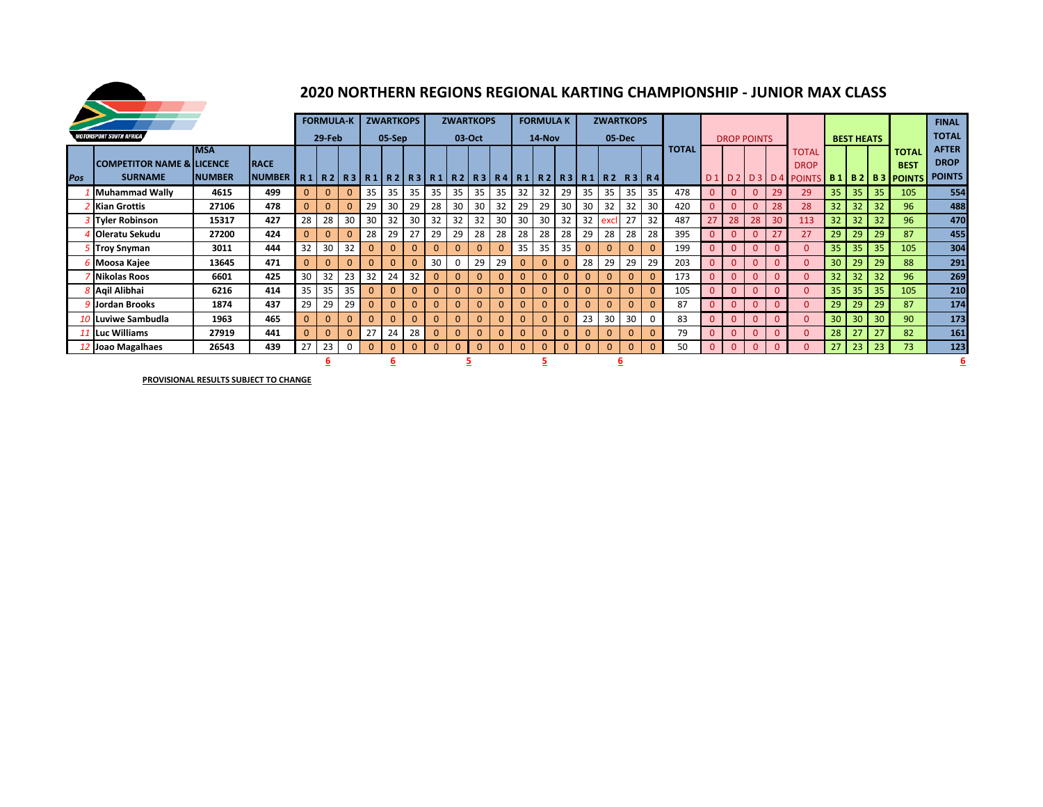

## **2020 NORTHERN REGIONS REGIONAL KARTING CHAMPIONSHIP - JUNIOR MAX CLASS**

|     |                                                        |                             |                            |                 | <b>FORMULA-K</b> |              |              | <b>ZWARTKOPS</b> |              |                |          | <b>ZWARTKOPS</b> |                 |    | <b>FORMULA K</b> |              |                 |              | <b>ZWARTKOPS</b>                                           |          |              |                    |                    |              |              |                                                                                |                 |                   |    |                             | <b>FINAL</b>                                 |
|-----|--------------------------------------------------------|-----------------------------|----------------------------|-----------------|------------------|--------------|--------------|------------------|--------------|----------------|----------|------------------|-----------------|----|------------------|--------------|-----------------|--------------|------------------------------------------------------------|----------|--------------|--------------------|--------------------|--------------|--------------|--------------------------------------------------------------------------------|-----------------|-------------------|----|-----------------------------|----------------------------------------------|
|     | <i><b>NOTORSPORT SOUTH AFRICA</b></i>                  |                             |                            |                 | 29-Feb           |              |              | 05-Sep           |              |                |          | 03-Oct           |                 |    | 14-Nov           |              |                 |              | 05-Dec                                                     |          |              |                    | <b>DROP POINTS</b> |              |              |                                                                                |                 | <b>BEST HEATS</b> |    |                             | <b>TOTAL</b>                                 |
| Pos | <b>COMPETITOR NAME &amp; LICENCE</b><br><b>SURNAME</b> | <b>MSA</b><br><b>NUMBER</b> | <b>RACE</b><br>NUMBER R1R2 |                 |                  |              |              |                  |              |                |          |                  |                 |    |                  |              |                 |              | R3  R1  R2  R3  R1  R2  R3  R4  R1  R2  R3  R1  R2  R3  R4 |          | <b>TOTAL</b> | $\blacksquare$ D 1 | D 2                |              |              | <b>TOTAL</b><br><b>DROP</b><br>  D 3   D 4   POINTS   B 1   B 2   B 3   POINTS |                 |                   |    | <b>TOTAL</b><br><b>BEST</b> | <b>AFTER</b><br><b>DROP</b><br><b>POINTS</b> |
|     | Muhammad Wally                                         | 4615                        | 499                        | $\overline{0}$  | $\mathbf{0}$     | $\mathbf{0}$ | 35           | 35               | 35           | 35             | 35       | 35               | 35 <sup>1</sup> | 32 | 32               | 29           | 35              | 35           | 35                                                         | 35       | 478          | $\mathbf{0}$       | $\overline{0}$     | $\mathbf{0}$ | 29           | 29                                                                             | 35              | 35                | 35 | 105                         | 554                                          |
|     | <b>Z</b> Kian Grottis                                  | 27106                       | 478                        | $\Omega$        | $\Omega$         | $\Omega$     | 29           | 30               | 29           | 28             | 30       | 30               | 32              | 29 | 29               | 30           | 30              | 32           | 32                                                         | 30       | 420          | $\mathbf{0}$       | $\mathbf{0}$       | $\mathbf{0}$ | 28           | 28                                                                             | 32              | 32                | 32 | 96                          | 488                                          |
|     | <b>3</b> Tyler Robinson                                | 15317                       | 427                        | 28              | 28               | 30           | 30           | 32               | 30           | 32             | 32       | 32               | 30              | 30 | 30               | 32           | 32 <sub>1</sub> | excl         | 27                                                         | 32       | 487          | 27                 | 28                 | 28           | 30           | 113                                                                            | 32 <sup>2</sup> | 32                | 32 | 96                          | 470                                          |
|     | <b>I</b> Oleratu Sekudu                                | 27200                       | 424                        | $\Omega$        | $\Omega$         | $\Omega$     | 28           | 29               | 27           | 29             | 29       | 28               | 28              | 28 | 28               | 28           | 29              | 28           | 28                                                         | 28       | 395          | $\mathbf{0}$       | $\overline{0}$     | $\Omega$     |              | 27                                                                             | 29              | 29                | 29 | 87                          | 455                                          |
|     | <b>5 Troy Snyman</b>                                   | 3011                        | 444                        | 32              | 30               | 32           | $\mathbf{0}$ | $\mathbf{0}$     | $\mathbf{0}$ | $\mathbf{0}$   | $\Omega$ | $\overline{0}$   | $\Omega$        | 35 | 35               | 35           | $\mathbf{0}$    | $\mathbf{0}$ | $\mathbf{0}$                                               | $\Omega$ | 199          | $\mathbf{0}$       | $\mathbf{0}$       | $\Omega$     |              | $\Omega$                                                                       | 35              | 35                | 35 | 105                         | 304                                          |
|     | 6 Moosa Kajee                                          | 13645                       | 471                        | $\mathbf{0}$    |                  | $\mathbf{0}$ | $\mathbf{0}$ | $\mathbf{0}$     | $\Omega$     | 30             | 0        | 29               | 29              |    | $\mathbf{0}$     | $\mathbf{0}$ | 28              | 29           | 29                                                         | 29       | 203          | $\mathbf{0}$       | $\overline{0}$     | $\mathbf{0}$ | $\Omega$     | $\mathbf{0}$                                                                   | 30              | 29                | 29 | 88                          | 291                                          |
|     | Nikolas Roos                                           | 6601                        | 425                        | 30 <sup>1</sup> | 32               | 23           | 32           | 24               | 32           | $\mathbf{0}$   | $\Omega$ | $\overline{0}$   | $\mathbf{0}$    |    | $\overline{0}$   | $\mathbf{0}$ | $\mathbf{0}$    | $\mathbf{0}$ | $\mathbf{0}$                                               | $\Omega$ | 173          | $\mathbf{0}$       | $\overline{0}$     | $\Omega$     |              | $\Omega$                                                                       | 32              | 32                | 32 | 96                          | 269                                          |
|     | 8 Agil Alibhai                                         | 6216                        | 414                        | 35 <sup>1</sup> | 35               | 35           | $\mathbf{0}$ | $\mathbf{0}$     |              | $\overline{0}$ | $\Omega$ | $\mathbf{0}$     | $\mathbf{0}$    |    | $\overline{0}$   | $\mathbf{0}$ | $\mathbf{0}$    | $\mathbf{0}$ | $\mathbf{0}$                                               | $\Omega$ | 105          | $\mathbf{0}$       | $\mathbf{0}$       | $\mathbf{0}$ | <sup>0</sup> | $\Omega$                                                                       | 35              | 35                | 35 | 105                         | 210                                          |
|     | 9 Llordan Brooks                                       | 1874                        | 437                        | 29              | 29               | 29           | $\mathbf{0}$ | $\mathbf{0}$     | $\mathbf{0}$ | $\mathbf{0}$   | $\Omega$ | $\mathbf{0}$     | $\Omega$        |    | $\overline{0}$   | $\mathbf{0}$ | $\mathbf{0}$    | $\mathbf{0}$ | $\Omega$                                                   | $\Omega$ | 87           | $\mathbf{0}$       | $\overline{0}$     | $\Omega$     | $\Omega$     | $\Omega$                                                                       | 29              | 29                | 29 | 87                          | 174                                          |
|     | 10 Luviwe Sambudla                                     | 1963                        | 465                        | $\mathbf{0}$    |                  | $\mathbf{0}$ | $\mathbf{0}$ | $\mathbf{0}$     | $\mathbf{0}$ | $\mathbf{0}$   | $\Omega$ | $\mathbf{0}$     | $\mathbf{0}$    |    | $\overline{0}$   | $\mathbf{0}$ | 23              | 30           | 30                                                         | $\Omega$ | 83           | $\mathbf{0}$       | $\overline{0}$     | $\Omega$     |              | $\Omega$                                                                       | 30              | 30                | 30 | 90                          | 173                                          |
|     | <i><b>11 Luc Williams</b></i>                          | 27919                       | 441                        | $\overline{0}$  | $\Omega$         | $\mathbf{0}$ | 27           | 24               | 28           | $\mathbf{0}$   | $\Omega$ | $\mathbf{0}$     | $\Omega$        |    | $\overline{0}$   | $\mathbf{0}$ | $\mathbf{0}$    | $\mathbf{0}$ | $\mathbf{0}$                                               | $\Omega$ | 79           | $\mathbf{0}$       | $\overline{0}$     | $\Omega$     | <sup>0</sup> | $\Omega$                                                                       | 28              | 27                | 27 | 82                          | 161                                          |
|     | 12 Joao Magalhaes                                      | 26543                       | 439                        | 27              | 23               | $\Omega$     | $\Omega$     | $\mathbf{0}$     | $\Omega$     | $\Omega$       | 0        | $\mathbf{0}$     | $\Omega$        |    | $\overline{0}$   | $\Omega$     | $\Omega$        | $\Omega$     | $\mathbf 0$                                                | $\Omega$ | 50           |                    | $\Omega$           | $\Omega$     | $\Omega$     | $\Omega$                                                                       | 27              | 23                | 23 | 73                          | 123                                          |
|     |                                                        |                             |                            |                 |                  |              |              |                  |              |                |          |                  |                 |    |                  |              | 6               |              |                                                            |          |              |                    |                    |              |              |                                                                                |                 |                   |    |                             |                                              |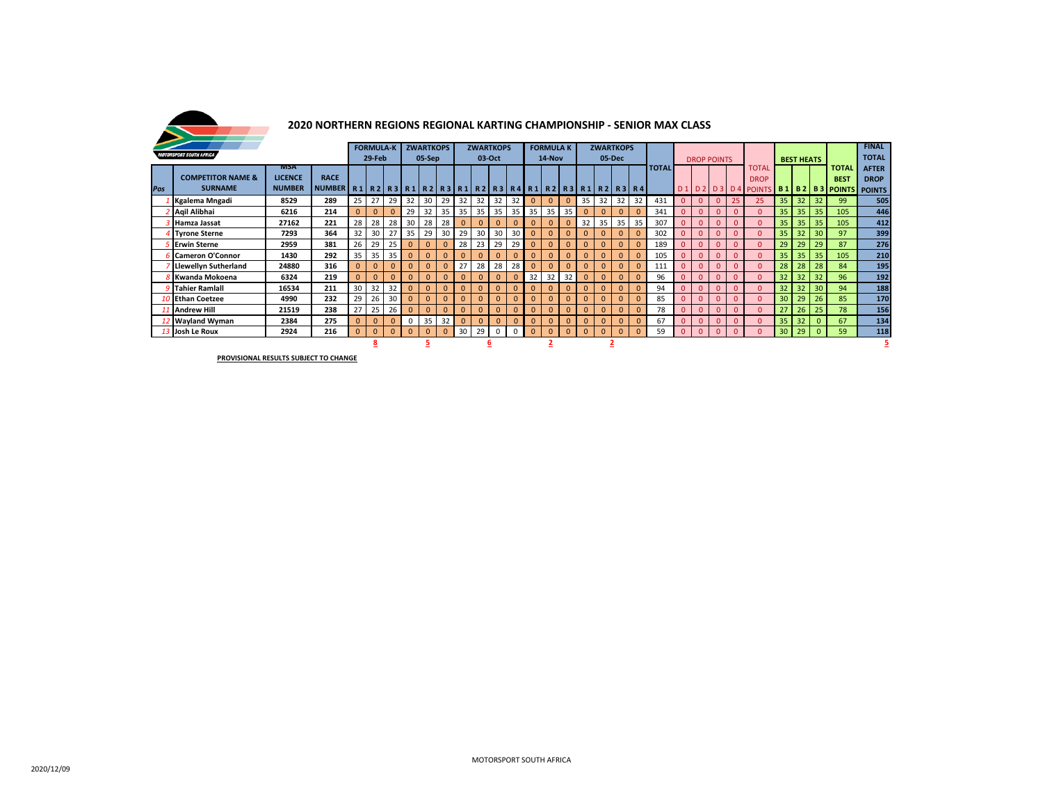

### **2020 NORTHERN REGIONS REGIONAL KARTING CHAMPIONSHIP - SENIOR MAX CLASS**

|     |                              |                |                                                                                             | <b>FORMULA-K</b> |              |              | <b>ZWARTKOPS</b> |                 |              | <b>ZWARTKOPS</b> |              |              |                 | <b>FORMULA K</b> |              |          | <b>ZWARTKOPS</b> |              |                |                |              |              |              |                    |                 |                                    |    |                   |          | <b>FINAL</b> |               |
|-----|------------------------------|----------------|---------------------------------------------------------------------------------------------|------------------|--------------|--------------|------------------|-----------------|--------------|------------------|--------------|--------------|-----------------|------------------|--------------|----------|------------------|--------------|----------------|----------------|--------------|--------------|--------------|--------------------|-----------------|------------------------------------|----|-------------------|----------|--------------|---------------|
|     | NOTORSPORT SOUTH AFRICA      |                |                                                                                             |                  | 29-Feb       |              |                  | 05-Sep          |              |                  | 03-Oct       |              |                 |                  | 14-Nov       |          |                  |              | 05-Dec         |                |              |              |              | <b>DROP POINTS</b> |                 |                                    |    | <b>BEST HEATS</b> |          |              | <b>TOTAL</b>  |
|     |                              | <b>MSA</b>     |                                                                                             |                  |              |              |                  |                 |              |                  |              |              |                 |                  |              |          |                  |              |                |                | <b>TOTAL</b> |              |              |                    |                 | TOTAL                              |    |                   |          | TOTAL        | <b>AFTER</b>  |
|     | <b>COMPETITOR NAME &amp;</b> | <b>LICENCE</b> | <b>RACE</b>                                                                                 |                  |              |              |                  |                 |              |                  |              |              |                 |                  |              |          |                  |              |                |                |              |              |              |                    |                 | <b>DROP</b>                        |    |                   |          | <b>BEST</b>  | <b>DROP</b>   |
| Pos | <b>SURNAME</b>               | <b>NUMBER</b>  | NUMBER   R1   R2   R3   R1   R2   R3   R1   R2   R3   R4   R1   R2   R3   R1   R2   R3   R4 |                  |              |              |                  |                 |              |                  |              |              |                 |                  |              |          |                  |              |                |                |              |              |              |                    |                 | D1 D2 D3 D4 POINTS B1 B2 B3 POINTS |    |                   |          |              | <b>POINTS</b> |
|     | Kgalema Mngadi               | 8529           | 289                                                                                         | 25               | 27           | 29           | 32               | 30              | 29           | -32              | 32           | 32           | 32 <sub>1</sub> | $\mathbf{0}$     | $\Omega$     | $\Omega$ | 35               | 32           | 32             | 32             | 431          | $\Omega$     | $\Omega$     | $\Omega$           | 25 <sub>1</sub> | 25                                 | 35 | 32                | 32       | 99           | 505           |
|     | Aqil Alibhai                 | 6216           | 214                                                                                         |                  | $\Omega$     | $\Omega$     | 29               | 32              | 35           | 35               | 35           | 35           | 35              | 35               | 35           | 35       |                  | $\Omega$     | $\mathbf 0$    | $\Omega$       | 341          |              |              |                    |                 | $\Omega$                           | 35 | 35                | 35       | 105          | 446           |
|     | Hamza Jassat                 | 27162          | 221                                                                                         | 28               | 28           | 28           | 30               | 28              | 28           | $\Omega$         | $\Omega$     | $\Omega$     | $\Omega$        | $\mathbf{0}$     |              | $\Omega$ | 32               | 35           | 35             | 35             | 307          |              |              | $\Omega$           | $\Omega$        |                                    | 35 | 35                | 35       | 105          | 412           |
|     | <b>Tyrone Sterne</b>         | 7293           | 364                                                                                         | 32               | 30           | 27           | 35               | 29              | 30           | 29               | 30           | 30           | 30 <sup>1</sup> | $\mathbf{0}$     | $\Omega$     | $\Omega$ |                  | $\Omega$     | $\Omega$       | $\Omega$       | 302          | $\Omega$     |              |                    |                 | $\Omega$                           | 35 | 32                | 30       | 97           | 399           |
|     | <b>Erwin Sterne</b>          | 2959           | 381                                                                                         | 26               | 29           | 25           | $\Omega$         | $\mathbf{0}$    |              | 28               | 23           | 29           | 29              | $\mathbf{0}$     | $\Omega$     | $\Omega$ |                  | $\Omega$     | $\Omega$       | $\mathbf{0}$   | 189          |              |              | $\Omega$           | $\Omega$        | $\Omega$                           | 29 | 29                | 29       | 87           | 276           |
|     | Cameron O'Connor             | 1430           | 292                                                                                         | 35               | 35           | 35           | $\mathbf{0}$     | $\mathbf{0}$    |              |                  | $\mathbf{0}$ | $\mathbf{0}$ | $\Omega$        | $\Omega$         |              | $\Omega$ |                  | $\Omega$     | $\mathbf 0$    | $\mathbf{0}$   | 105          | $\Omega$     |              |                    | $\Omega$        | $\Omega$                           | 35 | 35                | 35       | 105          | 210           |
|     | <b>Llewellyn Sutherland</b>  | 24880          | 316                                                                                         |                  | $\Omega$     | $\mathbf{0}$ | $\Omega$         | $\mathbf{0}$    | $\Omega$     | 27               | 28           | 28           | 28              | $\mathbf{0}$     |              | $\Omega$ |                  | $\Omega$     | $\mathbf{0}$   | $\Omega$       | 111          |              |              | $\Omega$           | $\Omega$        | $\Omega$                           | 28 | 28                | 28       | 84           | 195           |
|     | Kwanda Mokoena               | 6324           | 219                                                                                         |                  | $\mathbf{0}$ | $\mathbf{0}$ | $\Omega$         | $\Omega$        |              |                  | $\Omega$     | $\mathbf{0}$ | $\Omega$        | 32               | 32           | 32       | $\mathbf{0}$     | $\mathbf{0}$ | $\mathbf 0$    | $\mathbf{0}$   | 96           | $\Omega$     |              |                    | $\Omega$        | $\Omega$                           | 32 | 32                | 32       | 96           | 192           |
|     | <b>Tahier Ramiall</b>        | 16534          | 211                                                                                         | 30 <sup>1</sup>  | 32           | 32           | $\mathbf{0}$     | $\mathbf{0}$    | $\mathbf{0}$ | $\mathbf{0}$     | $\mathbf{0}$ | $\mathbf{0}$ | $\mathbf{0}$    | $\mathbf{0}$     | $\mathbf{0}$ | $\Omega$ |                  | $\mathbf{0}$ | $\overline{0}$ | $\mathbf{0}$   | 94           | $\Omega$     | $\mathbf{0}$ | $\mathbf{0}$       | $\Omega$        | $\Omega$                           | 32 | 32                | 30       | 94           | 188           |
|     | 10 Ethan Coetzee             | 4990           | 232                                                                                         | 29               | 26           | 30           | $\Omega$         | $\mathbf{0}$    |              |                  | $\Omega$     | $\mathbf{0}$ | $\Omega$        | $\mathbf{0}$     | $\Omega$     | $\Omega$ |                  | $\Omega$     | $\mathbf{0}$   | $\mathbf{0}$   | 85           | $\Omega$     |              | $\Omega$           | $\Omega$        | $\Omega$                           | 30 | 29                | 26       | 85           | 170           |
|     | <b>Andrew Hill</b>           | 238            | 27                                                                                          | 25               | 26           | $\Omega$     | $\Omega$         |                 | $\mathbf{0}$ | $\mathbf{0}$     | $\mathbf{0}$ | $\Omega$     | $\mathbf{0}$    | $\mathbf{0}$     | $\Omega$     |          | $\mathbf{0}$     | $\mathbf{0}$ | $\mathbf{0}$   | 78             | $\Omega$     |              | $\mathbf{0}$ | $\Omega$           | $\Omega$        |                                    | 26 | 25                | 78       | 156          |               |
|     | 2 Wayland Wyman              | 2384           | 275                                                                                         | $\mathbf{0}$     | $\mathbf{0}$ | $\mathbf{0}$ | $\mathbf{0}$     | 35 <sup>1</sup> | 32           |                  | $\mathbf{0}$ | $\mathbf{0}$ | $\mathbf{0}$    | $\mathbf{0}$     |              | $\Omega$ |                  | $\mathbf{0}$ | $\mathbf{0}$   | $\overline{0}$ | 67           |              |              | $\mathbf{0}$       | $\Omega$        | $\mathbf{0}$                       | 35 | 32                |          | 67           | 134           |
|     | 13 Josh Le Roux              | 2924           | 216                                                                                         | $\Omega$         | $\mathbf{0}$ | $\mathbf{0}$ | $\Omega$         | $\mathbf{0}$    | $\mathbf{0}$ | 30               | 29           | $\mathbf 0$  | $\mathbf 0$     | $\mathbf{0}$     | $\Omega$     | $\Omega$ | $\mathbf{0}$     | $\mathbf{0}$ | $\mathbf{0}$   | $\mathbf{0}$   | 59           | $\mathbf{0}$ | $\mathbf{0}$ | $\Omega$           | $\Omega$        | $\Omega$                           | 30 | 29                | $\Omega$ | 59           | 118           |
|     |                              | 8<br>ָ         |                                                                                             |                  |              |              |                  |                 |              |                  |              | p            |                 |                  |              |          |                  |              |                |                |              |              |              |                    |                 |                                    |    |                   |          |              |               |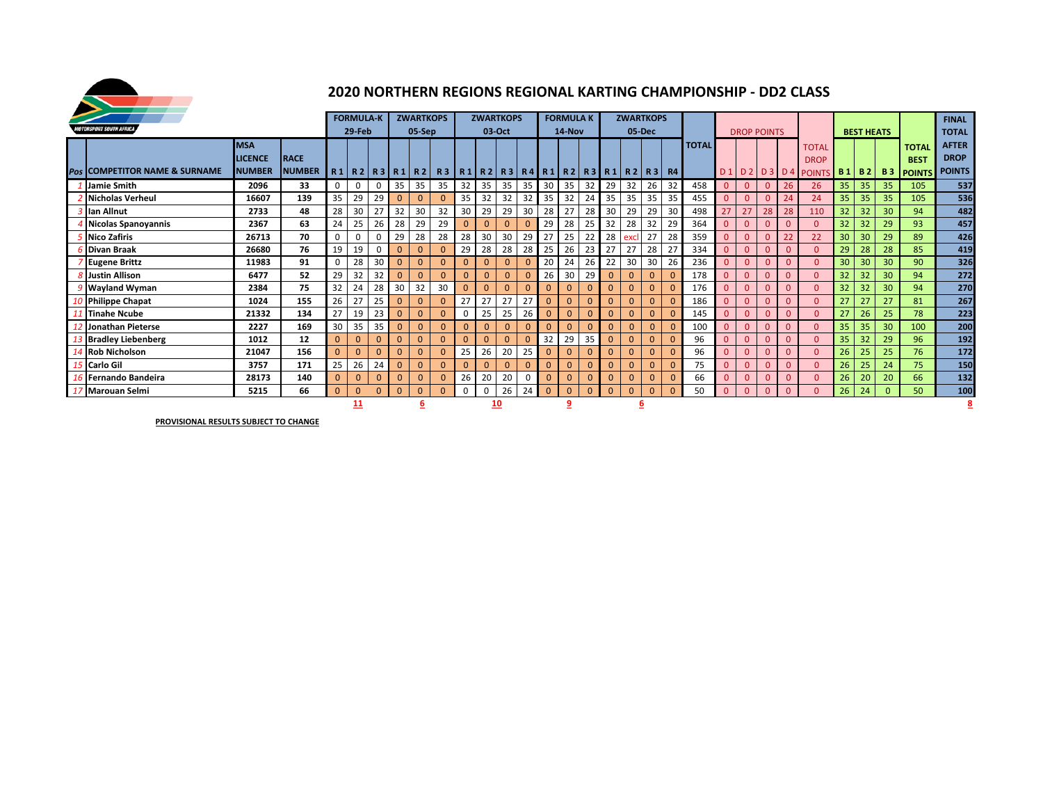

#### **2020 NORTHERN REGIONS REGIONAL KARTING CHAMPIONSHIP - DD2 CLASS**

|     |                                      |                |               |              | <b>FORMULA-K</b> |              |              | <b>ZWARTKOPS</b>      |          |              | <b>ZWARTKOPS</b> |              |          |              | <b>FORMULA K</b> |             |              |              | <b>ZWARTKOPS</b>                                          |          |              |                |                    |          |              |                          |    |                   |    |                  |               |
|-----|--------------------------------------|----------------|---------------|--------------|------------------|--------------|--------------|-----------------------|----------|--------------|------------------|--------------|----------|--------------|------------------|-------------|--------------|--------------|-----------------------------------------------------------|----------|--------------|----------------|--------------------|----------|--------------|--------------------------|----|-------------------|----|------------------|---------------|
|     | <i><b>TORSPORT SOUTH AFRICA</b></i>  |                |               |              |                  |              |              |                       |          |              |                  |              |          |              |                  |             |              |              |                                                           |          |              |                |                    |          |              |                          |    |                   |    |                  | <b>FINAL</b>  |
|     |                                      |                |               |              | 29-Feb           |              |              | 05-Sep                |          |              | 03-Oct           |              |          |              | 14-Nov           |             |              | 05-Dec       |                                                           |          |              |                | <b>DROP POINTS</b> |          |              |                          |    | <b>BEST HEATS</b> |    |                  | <b>TOTAL</b>  |
|     |                                      | <b>MSA</b>     |               |              |                  |              |              |                       |          |              |                  |              |          |              |                  |             |              |              |                                                           |          | <b>TOTAL</b> |                |                    |          |              | <b>TOTAL</b>             |    |                   |    | <b>TOTAI</b>     | <b>AFTER</b>  |
|     |                                      | <b>LICENCE</b> | <b>IRACE</b>  |              |                  |              |              |                       |          |              |                  |              |          |              |                  |             |              |              |                                                           |          |              |                |                    |          |              | <b>DROP</b>              |    |                   |    | <b>BEST</b>      | <b>DROP</b>   |
| Pos | <b>COMPETITOR NAME &amp; SURNAME</b> | <b>NUMBER</b>  | <b>NUMBER</b> |              |                  |              |              | $R1$   R2  R3  R1  R2 |          |              |                  |              |          |              |                  |             |              |              | R3   R1   R2   R3   R4   R1   R2   R3   R1   R2   R3   R4 |          |              |                |                    |          |              | D1 D2 D3 D4 POINTS B1 B2 |    |                   |    | <b>B3 POINTS</b> | <b>POINTS</b> |
|     | Jamie Smith                          | 2096           | 33            | $\Omega$     | 0                | $\mathbf 0$  | 35           | 35                    | 35       | 32           | 35               | 35           | 35       | 30           | 35               | 32          | 29           | 32           | 26                                                        | 32       | 458          | $\overline{0}$ | $\mathbf{0}$       | $\Omega$ | 26           | 26                       | 35 | 35                | 35 | 105              | 537           |
|     | <b>Nicholas Verheul</b>              | 16607          | 139           | 35           | 29               | 29           | $\mathbf{0}$ | $\mathbf{0}$          |          | 35           | 32               | 32           | 32       | 35           | 32               | 24          | 35           | 35           | 35                                                        | 35       | 455          | $\mathbf{0}$   | $\mathbf{0}$       | $\Omega$ | 24           | 24                       | 35 | 35                | 35 | 105              | 536           |
|     | lan Allnut                           | 2733           | 48            | 28           | 30               | 27           | 32           | 30                    | 32       | 30           | 29               | 29           | 30       | 28           | 27               | 28          | 30           | 29           | 29                                                        | 30       | 498          | 27             | 27                 | 28       | 28           | 110                      | 32 | 32                | 30 | 94               | 482           |
|     | <b>Nicolas Spanoyannis</b>           | 2367           | 63            | 24           | 25               | 26           | 28           | 29                    | 29       |              | $\Omega$         | $\Omega$     |          | 29           | 28               | 25          | 32           | 28           | 32                                                        | 29       | 364          | $\overline{0}$ | $\Omega$           | $\Omega$ | $\Omega$     |                          | 32 | 32                | 29 | 93               | 457           |
|     | <b>Nico Zafiris</b>                  | 26713          | 70            | $\Omega$     |                  | $\Omega$     | 29           | 28                    | 28       | 28           | 30               | 30           | 29       | 27           | 25               | 22          | 28           | exc          | 27                                                        | 28       | 359          | $\mathbf{0}$   | $\mathbf{0}$       | $\Omega$ | 22           | 22                       | 30 | 30                | 29 | 89               | 426           |
|     | Divan Braak                          | 26680          | 76            | 19           | 19               | $\mathbf 0$  | $\mathbf{0}$ | $\mathbf{0}$          |          | 29           | 28               | 28           | 28       | 25           | 26               | 23          | 27           | 27           | 28                                                        | 27       | 334          | $\overline{0}$ | $\mathbf{0}$       | $\Omega$ | $\Omega$     |                          | 29 | 28                | 28 | 85               | 419           |
|     | <b>Eugene Brittz</b>                 | 11983          | 91            | $\mathbf{0}$ | 28               | 30           | $\mathbf{0}$ | $\mathbf{0}$          |          | $\Omega$     | $\mathbf{0}$     | $\mathbf{0}$ |          | 20           | 24               | 26          | 22           | 30           | 30                                                        | 26       | 236          | $\Omega$       | $\mathbf{0}$       |          | $\Omega$     |                          | 30 | 30                | 30 | 90               | 326           |
|     | <b>Justin Allison</b>                | 6477           | 52            | 29           | 32               | 32           | $\mathbf{0}$ | $\mathbf{0}$          |          | $\Omega$     | $\mathbf{0}$     | $\mathbf{0}$ |          | 26           | 30               | 29          | $\mathbf{0}$ | $\Omega$     | $\mathbf{0}$                                              |          | 178          | $\Omega$       | $\Omega$           | $\Omega$ | $\Omega$     |                          | 32 | 32                | 30 | 94               | 272           |
|     | <b>Wayland Wyman</b>                 | 2384           | 75            | 32           | 24               | 28           | 30           | 32                    | 30       | $\mathbf{0}$ | $\mathbf{0}$     | $\Omega$     |          | $\Omega$     | $\Omega$         | $\Omega$    | $\Omega$     | $\Omega$     | $\mathbf{0}$                                              |          | 176          | $\Omega$       | $\Omega$           | $\Omega$ | $\Omega$     |                          | 32 | 32                | 30 | 94               | 270           |
|     | <b>Philippe Chapat</b>               | 1024           | 155           | 26           | 27               | 25           | $\Omega$     | $\mathbf{0}$          |          | 27           | 27               | 27           | 27       | $\Omega$     | $\mathbf{0}$     |             | $\Omega$     | $\Omega$     | $\mathbf{0}$                                              | $\Omega$ | 186          | $\Omega$       | $\mathbf{0}$       | $\Omega$ | $\Omega$     | $\Omega$                 | 27 | 27                | 27 | 81               | 267           |
|     | Tinahe Ncube                         | 21332          | 134           | 27           | 19               | 23           | $\Omega$     |                       |          | 0            | 25               | 25           | 26       | $\Omega$     | $\mathbf{0}$     |             | $\Omega$     | $\Omega$     | $\mathbf{0}$                                              | $\Omega$ | 145          | $\mathbf{0}$   | $\mathbf{0}$       | $\Omega$ | $\Omega$     |                          | 27 | 26                | 25 | 78               | 223           |
|     | Jonathan Pieterse                    | 2227           | 169           | 30           | 35               | 35           | $\mathbf{0}$ | $\mathbf{0}$          | $\Omega$ | $\Omega$     | $\mathbf 0$      | $\mathbf{0}$ |          | $\Omega$     | $\mathbf{0}$     |             | $\mathbf{0}$ | $\Omega$     | $\mathbf{0}$                                              | $\Omega$ | 100          | $\mathbf{0}$   | $\mathbf{0}$       | $\Omega$ | $\Omega$     |                          | 35 | 35                | 30 | 100              | 200           |
|     | <b>Bradley Liebenberg</b>            | 1012           | 12            | $\Omega$     | $\mathbf{0}$     | $\mathbf{0}$ | $\mathbf{0}$ | $\mathbf{0}$          |          | $\mathbf{0}$ | $\mathbf{0}$     | $\Omega$     |          | 32           | 29               | 35          | $\mathbf{0}$ | $\Omega$     | $\mathbf{0}$                                              |          | 96           | $\overline{0}$ | $\Omega$           | $\Omega$ | $\Omega$     |                          | 35 | 32                | 29 | 96               | 192           |
|     | <b>Rob Nicholson</b>                 | 21047          | 156           | $\Omega$     | $\overline{0}$   | $\Omega$     | $\mathbf{0}$ | $\mathbf{0}$          |          | 25           | 26               | 20           | 25       | $\mathbf{0}$ | $\mathbf{0}$     | $\mathbf 0$ | $\mathbf{0}$ | $\Omega$     | $\mathbf{0}$                                              | $\Omega$ | 96           | $\overline{0}$ | $\mathbf{0}$       | $\Omega$ | $\mathbf{0}$ | $\Omega$                 | 26 | 25                | 25 | 76               | 172           |
|     | <b>Carlo Gil</b>                     | 171            | 25            | 26           | 24               | $\mathbf{0}$ | $\mathbf{0}$ |                       |          | $\Omega$     | $\mathbf{0}$     |              | $\Omega$ | $\mathbf{0}$ | $\Omega$         | $\Omega$    | $\Omega$     | $\mathbf{0}$ | $\Omega$                                                  | 75       | $\mathbf{0}$ | $\Omega$       |                    | $\Omega$ | $\Omega$     | 26                       | 25 | 24                | 75 | 150              |               |
|     | Fernando Bandeira                    | 28173          | 140           | $\Omega$     | $\Omega$         | $\Omega$     | $\Omega$     |                       |          | 26           | 20               | 20           |          | $\Omega$     | $\Omega$         |             | $\Omega$     | $\Omega$     | $\Omega$                                                  | $\Omega$ | 66           | $\Omega$       | $\Omega$           | $\Omega$ | $\Omega$     | $\Omega$                 | 26 | 20                | 20 | 66               | 132           |
|     | <b>Marouan Selmi</b>                 | 5215           | 66            | $\Omega$     | $\mathbf{0}$     | $\Omega$     | $\Omega$     | $\Omega$              | $\Omega$ | $\Omega$     | $\Omega$         | 26           | 24       | $\Omega$     | $\mathbf{0}$     | $\Omega$    | $\Omega$     | $\Omega$     | $\mathbf{0}$                                              | $\Omega$ | 50           | $\Omega$       | $\Omega$           | $\Omega$ | $\Omega$     |                          | 26 | 24                |    | 50               | 100           |
|     |                                      |                |               | 11           |                  |              |              |                       |          | 10           |                  |              |          |              |                  |             |              |              |                                                           |          |              |                |                    |          |              |                          |    |                   |    |                  |               |